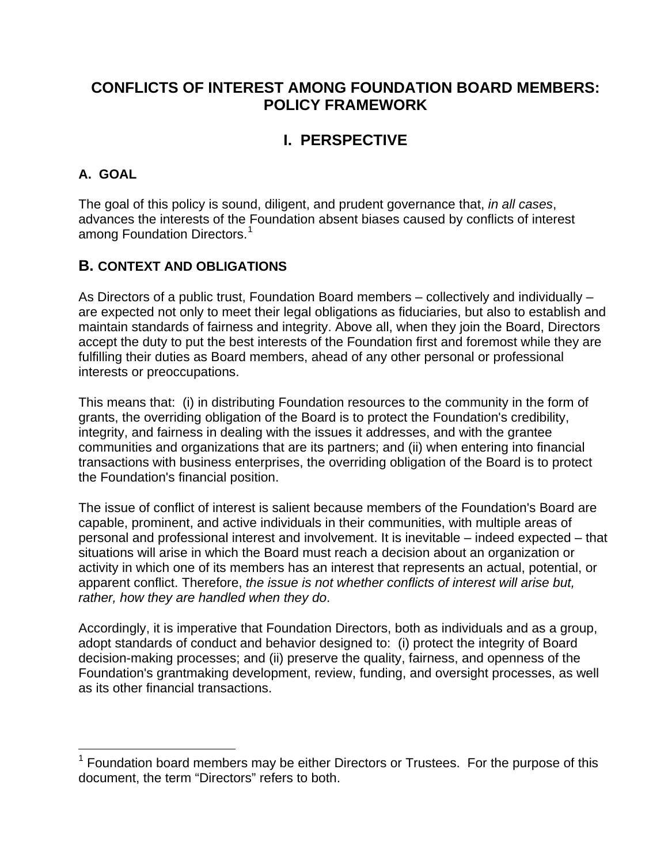## **CONFLICTS OF INTEREST AMONG FOUNDATION BOARD MEMBERS: POLICY FRAMEWORK**

# **I. PERSPECTIVE**

#### **A. GOAL**

 $\overline{a}$ 

The goal of this policy is sound, diligent, and prudent governance that, *in all cases*, advances the interests of the Foundation absent biases caused by conflicts of interest among Foundation Directors.<sup>[1](#page-0-0)</sup>

## **B. CONTEXT AND OBLIGATIONS**

As Directors of a public trust, Foundation Board members – collectively and individually – are expected not only to meet their legal obligations as fiduciaries, but also to establish and maintain standards of fairness and integrity. Above all, when they join the Board, Directors accept the duty to put the best interests of the Foundation first and foremost while they are fulfilling their duties as Board members, ahead of any other personal or professional interests or preoccupations.

This means that: (i) in distributing Foundation resources to the community in the form of grants, the overriding obligation of the Board is to protect the Foundation's credibility, integrity, and fairness in dealing with the issues it addresses, and with the grantee communities and organizations that are its partners; and (ii) when entering into financial transactions with business enterprises, the overriding obligation of the Board is to protect the Foundation's financial position.

The issue of conflict of interest is salient because members of the Foundation's Board are capable, prominent, and active individuals in their communities, with multiple areas of personal and professional interest and involvement. It is inevitable – indeed expected – that situations will arise in which the Board must reach a decision about an organization or activity in which one of its members has an interest that represents an actual, potential, or apparent conflict. Therefore, *the issue is not whether conflicts of interest will arise but, rather, how they are handled when they do*.

Accordingly, it is imperative that Foundation Directors, both as individuals and as a group, adopt standards of conduct and behavior designed to: (i) protect the integrity of Board decision-making processes; and (ii) preserve the quality, fairness, and openness of the Foundation's grantmaking development, review, funding, and oversight processes, as well as its other financial transactions.

<span id="page-0-0"></span> $1$  Foundation board members may be either Directors or Trustees. For the purpose of this document, the term "Directors" refers to both.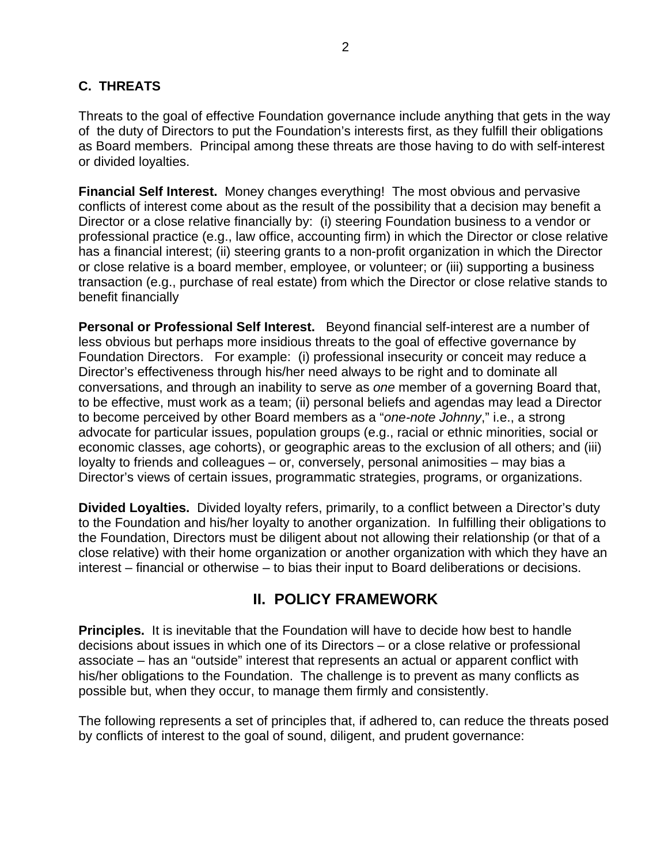#### **C. THREATS**

Threats to the goal of effective Foundation governance include anything that gets in the way of the duty of Directors to put the Foundation's interests first, as they fulfill their obligations as Board members. Principal among these threats are those having to do with self-interest or divided loyalties.

**Financial Self Interest.** Money changes everything! The most obvious and pervasive conflicts of interest come about as the result of the possibility that a decision may benefit a Director or a close relative financially by: (i) steering Foundation business to a vendor or professional practice (e.g., law office, accounting firm) in which the Director or close relative has a financial interest; (ii) steering grants to a non-profit organization in which the Director or close relative is a board member, employee, or volunteer; or (iii) supporting a business transaction (e.g., purchase of real estate) from which the Director or close relative stands to benefit financially

**Personal or Professional Self Interest.** Beyond financial self-interest are a number of less obvious but perhaps more insidious threats to the goal of effective governance by Foundation Directors. For example: (i) professional insecurity or conceit may reduce a Director's effectiveness through his/her need always to be right and to dominate all conversations, and through an inability to serve as *one* member of a governing Board that, to be effective, must work as a team; (ii) personal beliefs and agendas may lead a Director to become perceived by other Board members as a "*one-note Johnny*," i.e., a strong advocate for particular issues, population groups (e.g., racial or ethnic minorities, social or economic classes, age cohorts), or geographic areas to the exclusion of all others; and (iii) loyalty to friends and colleagues – or, conversely, personal animosities – may bias a Director's views of certain issues, programmatic strategies, programs, or organizations.

**Divided Loyalties.** Divided loyalty refers, primarily, to a conflict between a Director's duty to the Foundation and his/her loyalty to another organization. In fulfilling their obligations to the Foundation, Directors must be diligent about not allowing their relationship (or that of a close relative) with their home organization or another organization with which they have an interest – financial or otherwise – to bias their input to Board deliberations or decisions.

## **II. POLICY FRAMEWORK**

**Principles.** It is inevitable that the Foundation will have to decide how best to handle decisions about issues in which one of its Directors – or a close relative or professional associate – has an "outside" interest that represents an actual or apparent conflict with his/her obligations to the Foundation. The challenge is to prevent as many conflicts as possible but, when they occur, to manage them firmly and consistently.

The following represents a set of principles that, if adhered to, can reduce the threats posed by conflicts of interest to the goal of sound, diligent, and prudent governance: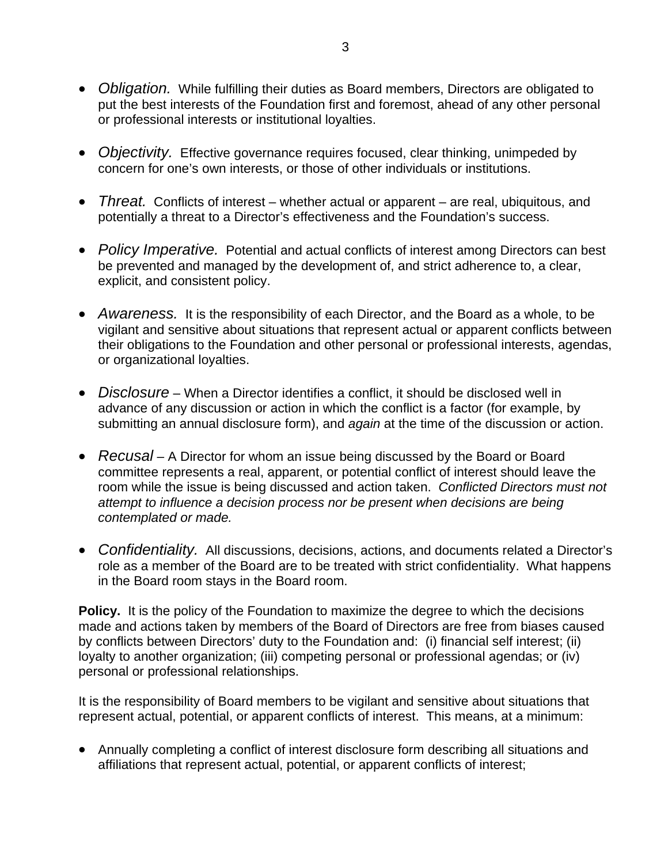- *Obligation.* While fulfilling their duties as Board members, Directors are obligated to put the best interests of the Foundation first and foremost, ahead of any other personal or professional interests or institutional loyalties.
- *Objectivity.* Effective governance requires focused, clear thinking, unimpeded by concern for one's own interests, or those of other individuals or institutions.
- *Threat.* Conflicts of interest whether actual or apparent are real, ubiquitous, and potentially a threat to a Director's effectiveness and the Foundation's success.
- *Policy Imperative.* Potential and actual conflicts of interest among Directors can best be prevented and managed by the development of, and strict adherence to, a clear, explicit, and consistent policy.
- *Awareness.* It is the responsibility of each Director, and the Board as a whole, to be vigilant and sensitive about situations that represent actual or apparent conflicts between their obligations to the Foundation and other personal or professional interests, agendas, or organizational loyalties.
- *Disclosure* When a Director identifies a conflict, it should be disclosed well in advance of any discussion or action in which the conflict is a factor (for example, by submitting an annual disclosure form), and *again* at the time of the discussion or action.
- *Recusal* A Director for whom an issue being discussed by the Board or Board committee represents a real, apparent, or potential conflict of interest should leave the room while the issue is being discussed and action taken. *Conflicted Directors must not attempt to influence a decision process nor be present when decisions are being contemplated or made.*
- *Confidentiality.* All discussions, decisions, actions, and documents related a Director's role as a member of the Board are to be treated with strict confidentiality. What happens in the Board room stays in the Board room.

**Policy.** It is the policy of the Foundation to maximize the degree to which the decisions made and actions taken by members of the Board of Directors are free from biases caused by conflicts between Directors' duty to the Foundation and: (i) financial self interest; (ii) loyalty to another organization; (iii) competing personal or professional agendas; or (iv) personal or professional relationships.

It is the responsibility of Board members to be vigilant and sensitive about situations that represent actual, potential, or apparent conflicts of interest. This means, at a minimum:

• Annually completing a conflict of interest disclosure form describing all situations and affiliations that represent actual, potential, or apparent conflicts of interest;